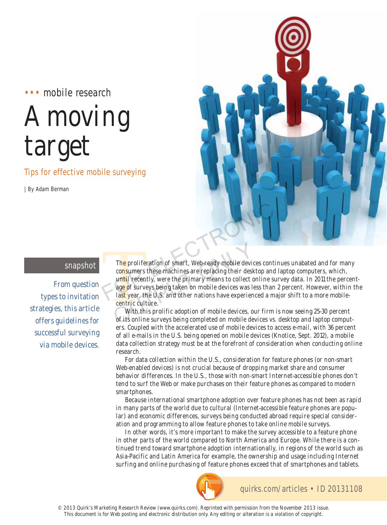# ••• mobile research

# A moving target

Tips for effective mobile surveying

| By Adam Berman



# snapshot

From question types to invitation strategies, this article offers guidelines for successful surveying via mobile devices.

The prolifer<br>consumers<br>until recent<br>age of surve<br>last year, the<br>centric cult<br>With this The proliferation of smart, Web-ready mobile devices continues unabated and for many consumers these machines are replacing their desktop and laptop computers, which, until recently, were the primary means to collect online survey data. In 2011 the percentage of surveys being taken on mobile devices was less than 2 percent. However, within the last year, the U.S. and other nations have experienced a major shift to a more mobilecentric culture. The proliferation of smart, Web-ready mobile devices continued<br>consumers these machines are replacing their desktop and la<br>until recently, were the primary means to collect online surv<br>age of surveys being taken on mobile The proliferation of smart, Web-ready mobile deviced<br>consumers these machines are replacing their desk<br>until recently, were the primary means to collect of<br>age of surveys being taken on mobile devices was le<br>last year, the

With this prolific adoption of mobile devices, our firm is now seeing 25-30 percent of its online surveys being completed on mobile devices vs. desktop and laptop computers. Coupled with the accelerated use of mobile devices to access e-mail, with 36 percent of all e-mails in the U.S. being opened on mobile devices (Knotice, Sept. 2012), a mobile data collection strategy must be at the forefront of consideration when conducting online research.

For data collection within the U.S., consideration for feature phones (or non-smart Web-enabled devices) is not crucial because of dropping market share and consumer behavior differences. In the U.S., those with non-smart Internet-accessible phones don't tend to surf the Web or make purchases on their feature phones as compared to modern smartphones.

Because international smartphone adoption over feature phones has not been as rapid in many parts of the world due to cultural (Internet-accessible feature phones are popular) and economic differences, surveys being conducted abroad require special consideration and programming to allow feature phones to take online mobile surveys.

In other words, it's more important to make the survey accessible to a feature phone in other parts of the world compared to North America and Europe. While there is a continued trend toward smartphone adoption internationally, in regions of the world such as Asia-Pacific and Latin America for example, the ownership and usage including Internet surfing and online purchasing of feature phones exceed that of smartphones and tablets.



quirks.com/articles • ID 20131108

© 2013 Quirk's Marketing Research Review (www.quirks.com). Reprinted with permission from the November 2013 issue. This document is for Web posting and electronic distribution only. Any editing or alteration is a violation of copyright.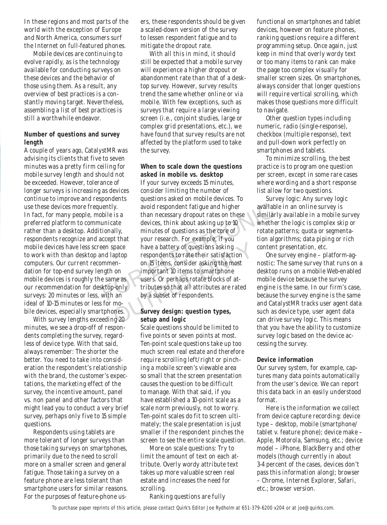In these regions and most parts of the world with the exception of Europe and North America, consumers surf the Internet on full-featured phones.

Mobile devices are continuing to evolve rapidly, as is the technology available for conducting surveys on these devices and the behavior of those using them. As a result, any overview of best practices is a constantly moving target. Nevertheless, assembling a list of best practices is still a worthwhile endeavor.

#### **Number of questions and survey length**

A couple of years ago, CatalystMR was advising its clients that five to seven minutes was a pretty firm ceiling for mobile survey length and should not be exceeded. However, tolerance of longer surveys is increasing as devices continue to improve and respondents use these devices more frequently. In fact, for many people, mobile is a preferred platform to communicate rather than a desktop. Additionally, respondents recognize and accept that mobile devices have less screen space to work with than desktop and laptop computers. Our current recommendation for top-end survey length on mobile devices is roughly the same as our recommendation for desktop-only surveys: 20 minutes or less, with an ideal of 10-15 minutes or less for mobile devices, especially smartphones.

With survey lengths exceeding 20 minutes, we see a drop-off of respondents completing the survey, regardless of device type. With that said, always remember: The shorter the better. You need to take into consideration the respondent's relationship with the brand, the customer's expectations, the marketing effect of the survey, the incentive amount, panel vs. non panel and other factors that might lead you to conduct a very brief survey, perhaps only five to 15 simple questions.

Respondents using tablets are more tolerant of longer surveys than those taking surveys on smartphones, primarily due to the need to scroll more on a smaller screen and general fatigue. Those taking a survey on a feature phone are less tolerant than smartphone users for similar reasons. For the purposes of feature-phone users, these respondents should be given a scaled-down version of the survey to lessen respondent fatigue and to mitigate the dropout rate.

With all this in mind, it should still be expected that a mobile survey will experience a higher dropout or abandonment rate than that of a desktop survey. However, survey results trend the same whether online or via mobile. With few exceptions, such as surveys that require a large viewing screen (i.e., conjoint studies, large or complex grid presentations, etc.), we have found that survey results are not affected by the platform used to take the survey.

**When to scale down the questions asked in mobile vs. desktop** If your survey exceeds 15 minutes, consider limiting the number of questions asked on mobile devices. To avoid respondent fatigue and higher than necessary dropout rates on these devices, think about asking up to 10 minutes of questions as the core of your research. For example, if you have a battery of questions asking respondents to rate their satisfaction on 15 items, consider asking the most important 10 items to smartphone users. Or perhaps rotate blocks of attributes so that all attributes are rated by a subset of respondents. For a cost of respondent fatigue and higher available<br>bile is a than necessary dropout rates on these similarly<br>unicate devices, think about asking up to 10 whether<br>ionally, minutes of questions as the core of rotate pa<br>cc Frace<br>
The part of their satisfaction<br>
aptop<br>
on 15 items, consider asking the most<br>
ion<br>
on 15 items, consider asking the most<br>
ion<br>
on timportant 10 items to smartphone<br>
me as<br>
users. Or perhaps rotate blocks of at-<br>
b-o

#### **Survey design: question types, setup and logic**

Scale questions should be limited to five points or seven points at most. Ten-point scale questions take up too much screen real estate and therefore require scrolling left/right or pinching a mobile screen's viewable area so small that the screen presentation causes the question to be difficult to manage. With that said, if you have established a 10-point scale as a scale norm previously, not to worry. Ten-point scales do fit to screen ultimately; the scale presentation is just smaller if the respondent pinches the screen to see the entire scale question.

More on scale questions: Try to limit the amount of text on each attribute. Overly wordy attribute text takes up more valuable screen real estate and increases the need for scrolling.

Ranking questions are fully

functional on smartphones and tablet devices, however on feature phones, ranking questions require a different programming setup. Once again, just keep in mind that overly wordy text or too many items to rank can make the page too complex visually for smaller screen sizes. On smartphones, always consider that longer questions will require vertical scrolling, which makes those questions more difficult to navigate.

Other question types including numeric, radio (single-response), checkbox (multiple response), text and pull-down work perfectly on smartphones and tablets.

To minimize scrolling, the best practice is to program one question per screen, except in some rare cases where wording and a short response list allow for two questions.

Survey logic: Any survey logic available in an online survey is similarly available in a mobile survey whether the logic is complex skip or rotate patterns; quota or segmentation algorithms; data piping or rich content presentation, etc.

One survey engine – platform-agnostic: The same survey that runs on a desktop runs on a mobile Web-enabled mobile device because the survey engine is the same. In our firm's case, because the survey engine is the same and CatalystMR tracks user agent data such as device type, user agent data can drive survey logic. This means that you have the ability to customize survey logic based on the device accessing the survey.

#### **Device information**

Our survey system, for example, captures many data points automatically from the user's device. We can report this data back in an easily understood format.

Here is the information we collect from device capture recording: device type – desktop, mobile (smartphone/ tablet v. feature phone); device make – Apple, Motorola, Samsung, etc.; device model – iPhone, BlackBerry and other models (though currently in about 3-4 percent of the cases, devices don't pass this information along); browser – Chrome, Internet Explorer, Safari, etc.; browser version.